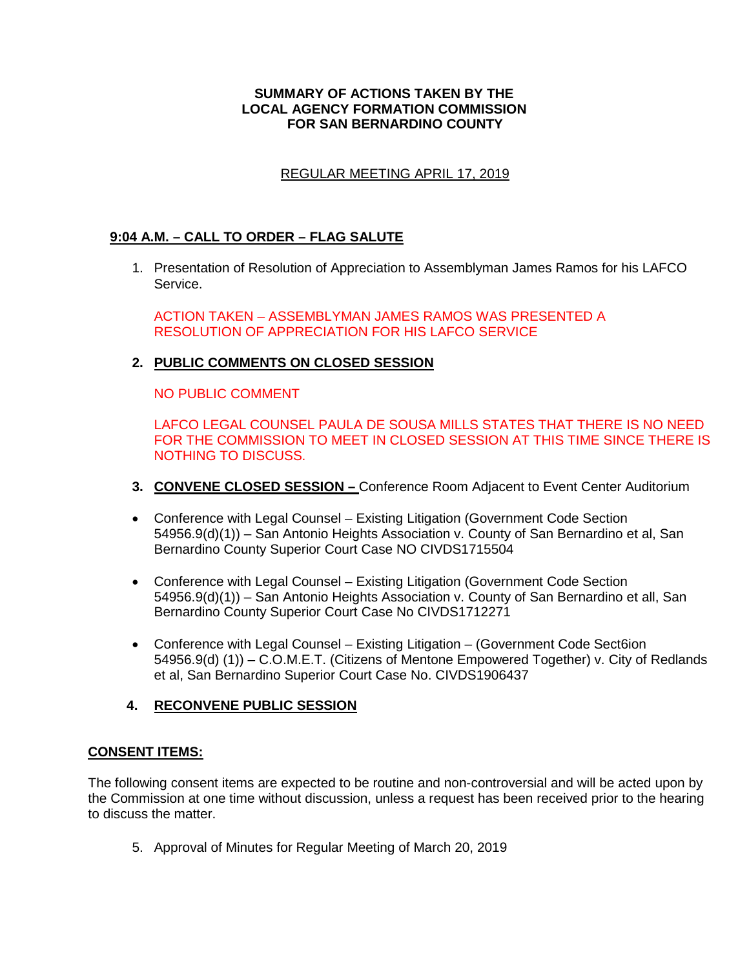### **SUMMARY OF ACTIONS TAKEN BY THE LOCAL AGENCY FORMATION COMMISSION FOR SAN BERNARDINO COUNTY**

# REGULAR MEETING APRIL 17, 2019

## **9:04 A.M. – CALL TO ORDER – FLAG SALUTE**

1. Presentation of Resolution of Appreciation to Assemblyman James Ramos for his LAFCO Service.

ACTION TAKEN – ASSEMBLYMAN JAMES RAMOS WAS PRESENTED A RESOLUTION OF APPRECIATION FOR HIS LAFCO SERVICE

# **2. PUBLIC COMMENTS ON CLOSED SESSION**

NO PUBLIC COMMENT

LAFCO LEGAL COUNSEL PAULA DE SOUSA MILLS STATES THAT THERE IS NO NEED FOR THE COMMISSION TO MEET IN CLOSED SESSION AT THIS TIME SINCE THERE IS NOTHING TO DISCUSS.

- **3. CONVENE CLOSED SESSION –** Conference Room Adjacent to Event Center Auditorium
- Conference with Legal Counsel Existing Litigation (Government Code Section 54956.9(d)(1)) – San Antonio Heights Association v. County of San Bernardino et al, San Bernardino County Superior Court Case NO CIVDS1715504
- Conference with Legal Counsel Existing Litigation (Government Code Section 54956.9(d)(1)) – San Antonio Heights Association v. County of San Bernardino et all, San Bernardino County Superior Court Case No CIVDS1712271
- Conference with Legal Counsel Existing Litigation (Government Code Sect6ion 54956.9(d) (1)) – C.O.M.E.T. (Citizens of Mentone Empowered Together) v. City of Redlands et al, San Bernardino Superior Court Case No. CIVDS1906437

## **4. RECONVENE PUBLIC SESSION**

## **CONSENT ITEMS:**

The following consent items are expected to be routine and non-controversial and will be acted upon by the Commission at one time without discussion, unless a request has been received prior to the hearing to discuss the matter.

5. Approval of Minutes for Regular Meeting of March 20, 2019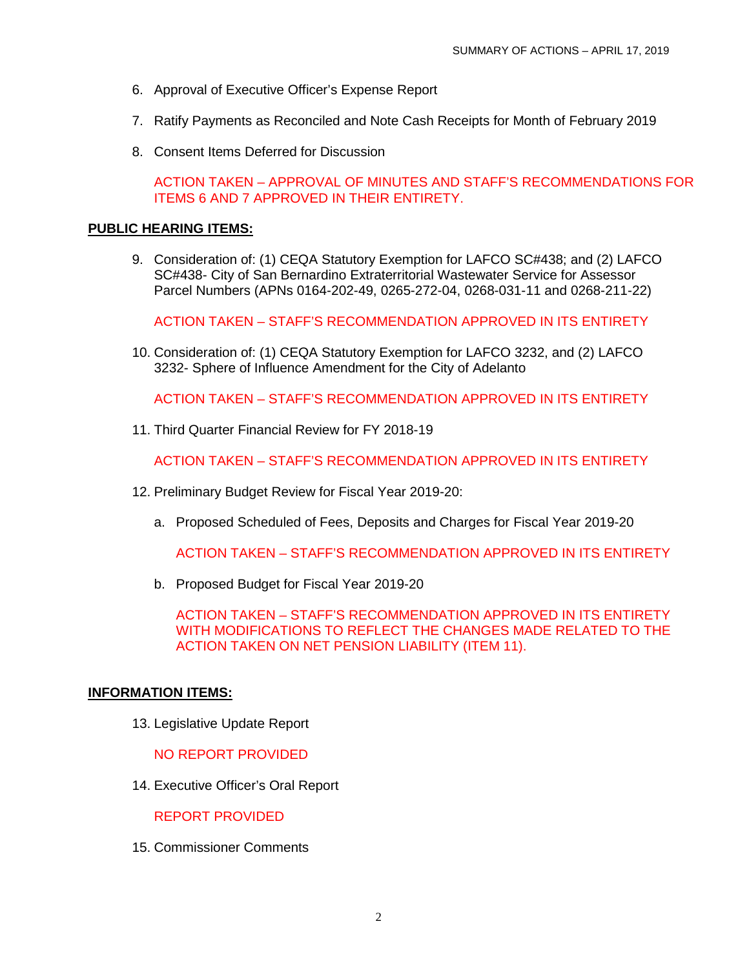- 6. Approval of Executive Officer's Expense Report
- 7. Ratify Payments as Reconciled and Note Cash Receipts for Month of February 2019
- 8. Consent Items Deferred for Discussion

ACTION TAKEN – APPROVAL OF MINUTES AND STAFF'S RECOMMENDATIONS FOR ITEMS 6 AND 7 APPROVED IN THEIR ENTIRETY.

#### **PUBLIC HEARING ITEMS:**

9. Consideration of: (1) CEQA Statutory Exemption for LAFCO SC#438; and (2) LAFCO SC#438- City of San Bernardino Extraterritorial Wastewater Service for Assessor Parcel Numbers (APNs 0164-202-49, 0265-272-04, 0268-031-11 and 0268-211-22)

ACTION TAKEN – STAFF'S RECOMMENDATION APPROVED IN ITS ENTIRETY

10. Consideration of: (1) CEQA Statutory Exemption for LAFCO 3232, and (2) LAFCO 3232- Sphere of Influence Amendment for the City of Adelanto

ACTION TAKEN – STAFF'S RECOMMENDATION APPROVED IN ITS ENTIRETY

11. Third Quarter Financial Review for FY 2018-19

ACTION TAKEN – STAFF'S RECOMMENDATION APPROVED IN ITS ENTIRETY

- 12. Preliminary Budget Review for Fiscal Year 2019-20:
	- a. Proposed Scheduled of Fees, Deposits and Charges for Fiscal Year 2019-20

ACTION TAKEN – STAFF'S RECOMMENDATION APPROVED IN ITS ENTIRETY

b. Proposed Budget for Fiscal Year 2019-20

ACTION TAKEN – STAFF'S RECOMMENDATION APPROVED IN ITS ENTIRETY WITH MODIFICATIONS TO REFLECT THE CHANGES MADE RELATED TO THE ACTION TAKEN ON NET PENSION LIABILITY (ITEM 11).

#### **INFORMATION ITEMS:**

13. Legislative Update Report

NO REPORT PROVIDED

14. Executive Officer's Oral Report

REPORT PROVIDED

15. Commissioner Comments